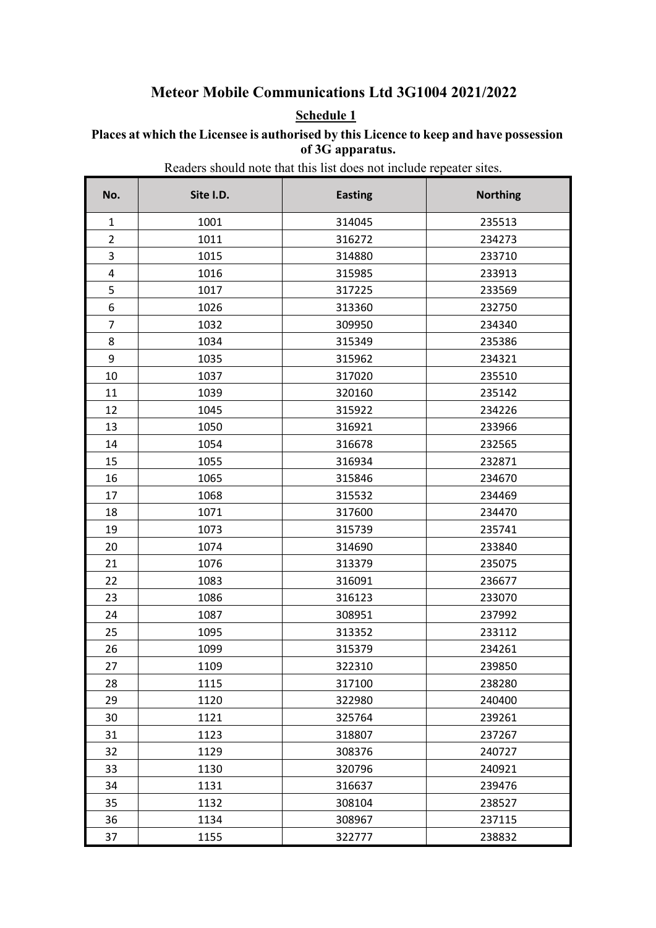### **Meteor Mobile Communications Ltd 3G1004 2021/2022**

### **Schedule 1**

#### **Places at which the Licensee is authorised by this Licence to keep and have possession of 3G apparatus.**

Readers should note that this list does not include repeater sites.

| No.            | Site I.D. | <b>Easting</b> | <b>Northing</b> |
|----------------|-----------|----------------|-----------------|
| $\mathbf{1}$   | 1001      | 314045         | 235513          |
| $\overline{2}$ | 1011      | 316272         | 234273          |
| 3              | 1015      | 314880         | 233710          |
| $\pmb{4}$      | 1016      | 315985         | 233913          |
| 5              | 1017      | 317225         | 233569          |
| 6              | 1026      | 313360         | 232750          |
| 7              | 1032      | 309950         | 234340          |
| 8              | 1034      | 315349         | 235386          |
| 9              | 1035      | 315962         | 234321          |
| 10             | 1037      | 317020         | 235510          |
| 11             | 1039      | 320160         | 235142          |
| 12             | 1045      | 315922         | 234226          |
| 13             | 1050      | 316921         | 233966          |
| 14             | 1054      | 316678         | 232565          |
| 15             | 1055      | 316934         | 232871          |
| 16             | 1065      | 315846         | 234670          |
| 17             | 1068      | 315532         | 234469          |
| 18             | 1071      | 317600         | 234470          |
| 19             | 1073      | 315739         | 235741          |
| 20             | 1074      | 314690         | 233840          |
| 21             | 1076      | 313379         | 235075          |
| 22             | 1083      | 316091         | 236677          |
| 23             | 1086      | 316123         | 233070          |
| 24             | 1087      | 308951         | 237992          |
| 25             | 1095      | 313352         | 233112          |
| 26             | 1099      | 315379         | 234261          |
| 27             | 1109      | 322310         | 239850          |
| 28             | 1115      | 317100         | 238280          |
| 29             | 1120      | 322980         | 240400          |
| 30             | 1121      | 325764         | 239261          |
| 31             | 1123      | 318807         | 237267          |
| 32             | 1129      | 308376         | 240727          |
| 33             | 1130      | 320796         | 240921          |
| 34             | 1131      | 316637         | 239476          |
| 35             | 1132      | 308104         | 238527          |
| 36             | 1134      | 308967         | 237115          |
| 37             | 1155      | 322777         | 238832          |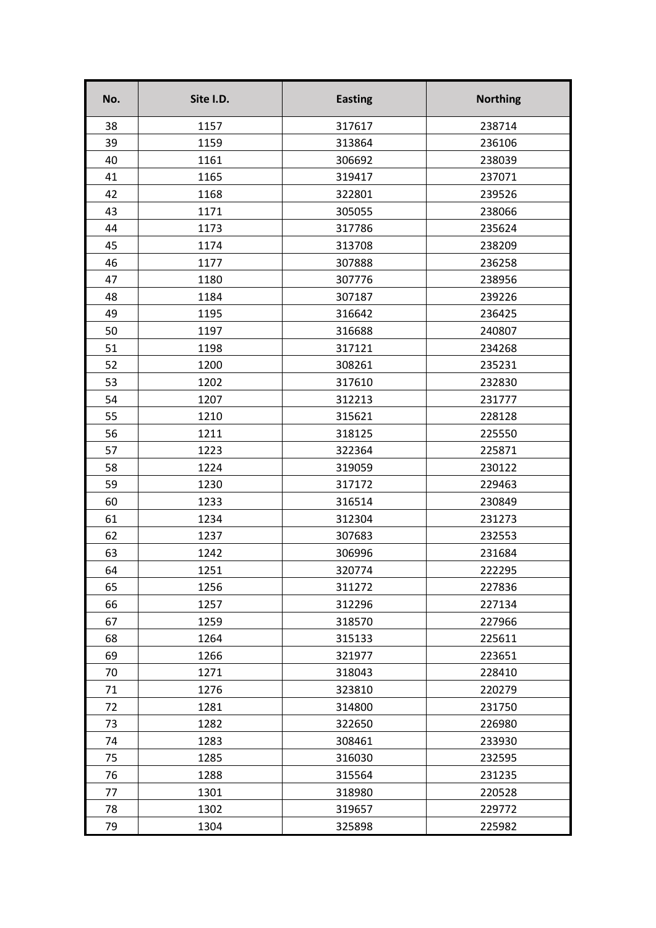| No. | Site I.D. | <b>Easting</b> | <b>Northing</b> |
|-----|-----------|----------------|-----------------|
| 38  | 1157      | 317617         | 238714          |
| 39  | 1159      | 313864         | 236106          |
| 40  | 1161      | 306692         | 238039          |
| 41  | 1165      | 319417         | 237071          |
| 42  | 1168      | 322801         | 239526          |
| 43  | 1171      | 305055         | 238066          |
| 44  | 1173      | 317786         | 235624          |
| 45  | 1174      | 313708         | 238209          |
| 46  | 1177      | 307888         | 236258          |
| 47  | 1180      | 307776         | 238956          |
| 48  | 1184      | 307187         | 239226          |
| 49  | 1195      | 316642         | 236425          |
| 50  | 1197      | 316688         | 240807          |
| 51  | 1198      | 317121         | 234268          |
| 52  | 1200      | 308261         | 235231          |
| 53  | 1202      | 317610         | 232830          |
| 54  | 1207      | 312213         | 231777          |
| 55  | 1210      | 315621         | 228128          |
| 56  | 1211      | 318125         | 225550          |
| 57  | 1223      | 322364         | 225871          |
| 58  | 1224      | 319059         | 230122          |
| 59  | 1230      | 317172         | 229463          |
| 60  | 1233      | 316514         | 230849          |
| 61  | 1234      | 312304         | 231273          |
| 62  | 1237      | 307683         | 232553          |
| 63  | 1242      | 306996         | 231684          |
| 64  | 1251      | 320774         | 222295          |
| 65  | 1256      | 311272         | 227836          |
| 66  | 1257      | 312296         | 227134          |
| 67  | 1259      | 318570         | 227966          |
| 68  | 1264      | 315133         | 225611          |
| 69  | 1266      | 321977         | 223651          |
| 70  | 1271      | 318043         | 228410          |
| 71  | 1276      | 323810         | 220279          |
| 72  | 1281      | 314800         | 231750          |
| 73  | 1282      | 322650         | 226980          |
| 74  | 1283      | 308461         | 233930          |
| 75  | 1285      | 316030         | 232595          |
| 76  | 1288      | 315564         | 231235          |
| 77  | 1301      | 318980         | 220528          |
| 78  | 1302      | 319657         | 229772          |
| 79  | 1304      | 325898         | 225982          |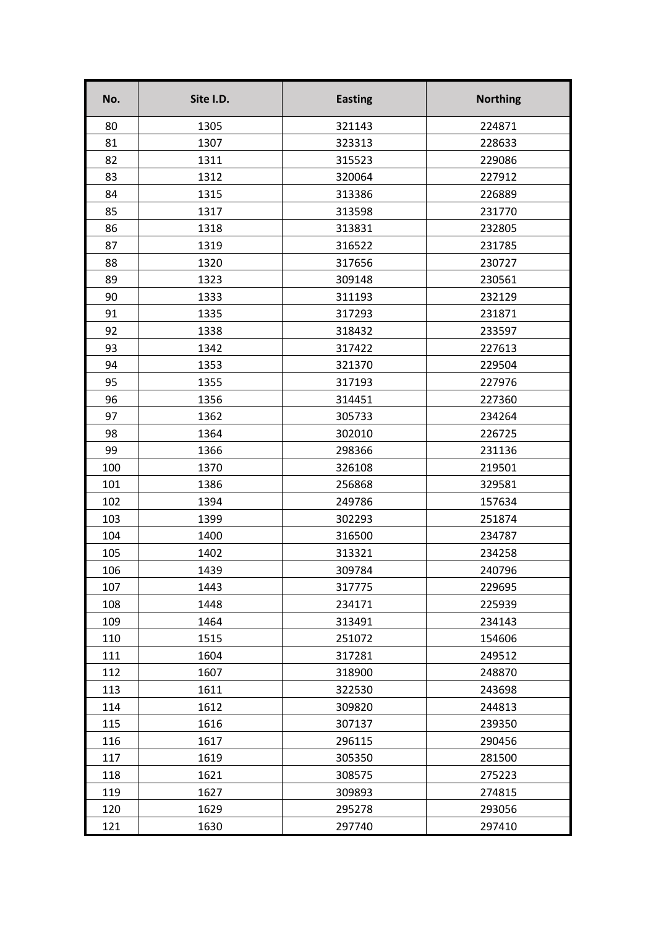| No. | Site I.D. | <b>Easting</b> | <b>Northing</b> |
|-----|-----------|----------------|-----------------|
| 80  | 1305      | 321143         | 224871          |
| 81  | 1307      | 323313         | 228633          |
| 82  | 1311      | 315523         | 229086          |
| 83  | 1312      | 320064         | 227912          |
| 84  | 1315      | 313386         | 226889          |
| 85  | 1317      | 313598         | 231770          |
| 86  | 1318      | 313831         | 232805          |
| 87  | 1319      | 316522         | 231785          |
| 88  | 1320      | 317656         | 230727          |
| 89  | 1323      | 309148         | 230561          |
| 90  | 1333      | 311193         | 232129          |
| 91  | 1335      | 317293         | 231871          |
| 92  | 1338      | 318432         | 233597          |
| 93  | 1342      | 317422         | 227613          |
| 94  | 1353      | 321370         | 229504          |
| 95  | 1355      | 317193         | 227976          |
| 96  | 1356      | 314451         | 227360          |
| 97  | 1362      | 305733         | 234264          |
| 98  | 1364      | 302010         | 226725          |
| 99  | 1366      | 298366         | 231136          |
| 100 | 1370      | 326108         | 219501          |
| 101 | 1386      | 256868         | 329581          |
| 102 | 1394      | 249786         | 157634          |
| 103 | 1399      | 302293         | 251874          |
| 104 | 1400      | 316500         | 234787          |
| 105 | 1402      | 313321         | 234258          |
| 106 | 1439      | 309784         | 240796          |
| 107 | 1443      | 317775         | 229695          |
| 108 | 1448      | 234171         | 225939          |
| 109 | 1464      | 313491         | 234143          |
| 110 | 1515      | 251072         | 154606          |
| 111 | 1604      | 317281         | 249512          |
| 112 | 1607      | 318900         | 248870          |
| 113 | 1611      | 322530         | 243698          |
| 114 | 1612      | 309820         | 244813          |
| 115 | 1616      | 307137         | 239350          |
| 116 | 1617      | 296115         | 290456          |
| 117 | 1619      | 305350         | 281500          |
| 118 | 1621      | 308575         | 275223          |
| 119 | 1627      | 309893         | 274815          |
| 120 | 1629      | 295278         | 293056          |
| 121 | 1630      | 297740         | 297410          |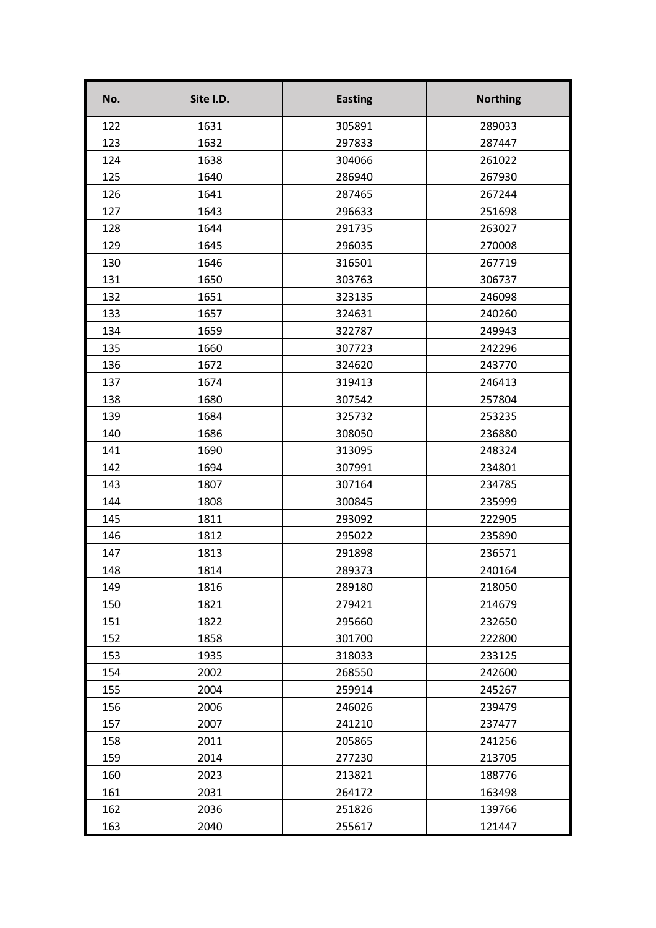| No. | Site I.D. | <b>Easting</b> | <b>Northing</b> |
|-----|-----------|----------------|-----------------|
| 122 | 1631      | 305891         | 289033          |
| 123 | 1632      | 297833         | 287447          |
| 124 | 1638      | 304066         | 261022          |
| 125 | 1640      | 286940         | 267930          |
| 126 | 1641      | 287465         | 267244          |
| 127 | 1643      | 296633         | 251698          |
| 128 | 1644      | 291735         | 263027          |
| 129 | 1645      | 296035         | 270008          |
| 130 | 1646      | 316501         | 267719          |
| 131 | 1650      | 303763         | 306737          |
| 132 | 1651      | 323135         | 246098          |
| 133 | 1657      | 324631         | 240260          |
| 134 | 1659      | 322787         | 249943          |
| 135 | 1660      | 307723         | 242296          |
| 136 | 1672      | 324620         | 243770          |
| 137 | 1674      | 319413         | 246413          |
| 138 | 1680      | 307542         | 257804          |
| 139 | 1684      | 325732         | 253235          |
| 140 | 1686      | 308050         | 236880          |
| 141 | 1690      | 313095         | 248324          |
| 142 | 1694      | 307991         | 234801          |
| 143 | 1807      | 307164         | 234785          |
| 144 | 1808      | 300845         | 235999          |
| 145 | 1811      | 293092         | 222905          |
| 146 | 1812      | 295022         | 235890          |
| 147 | 1813      | 291898         | 236571          |
| 148 | 1814      | 289373         | 240164          |
| 149 | 1816      | 289180         | 218050          |
| 150 | 1821      | 279421         | 214679          |
| 151 | 1822      | 295660         | 232650          |
| 152 | 1858      | 301700         | 222800          |
| 153 | 1935      | 318033         | 233125          |
| 154 | 2002      | 268550         | 242600          |
| 155 | 2004      | 259914         | 245267          |
| 156 | 2006      | 246026         | 239479          |
| 157 | 2007      | 241210         | 237477          |
| 158 | 2011      | 205865         | 241256          |
| 159 | 2014      | 277230         | 213705          |
| 160 | 2023      | 213821         | 188776          |
| 161 | 2031      | 264172         | 163498          |
| 162 | 2036      | 251826         | 139766          |
| 163 | 2040      | 255617         | 121447          |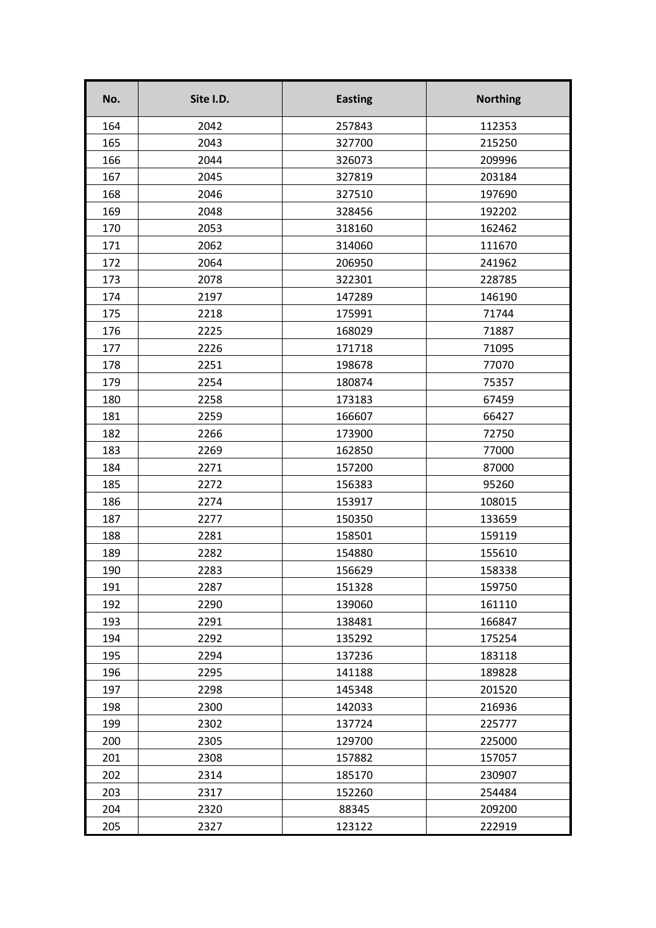| No. | Site I.D. | <b>Easting</b> | <b>Northing</b> |
|-----|-----------|----------------|-----------------|
| 164 | 2042      | 257843         | 112353          |
| 165 | 2043      | 327700         | 215250          |
| 166 | 2044      | 326073         | 209996          |
| 167 | 2045      | 327819         | 203184          |
| 168 | 2046      | 327510         | 197690          |
| 169 | 2048      | 328456         | 192202          |
| 170 | 2053      | 318160         | 162462          |
| 171 | 2062      | 314060         | 111670          |
| 172 | 2064      | 206950         | 241962          |
| 173 | 2078      | 322301         | 228785          |
| 174 | 2197      | 147289         | 146190          |
| 175 | 2218      | 175991         | 71744           |
| 176 | 2225      | 168029         | 71887           |
| 177 | 2226      | 171718         | 71095           |
| 178 | 2251      | 198678         | 77070           |
| 179 | 2254      | 180874         | 75357           |
| 180 | 2258      | 173183         | 67459           |
| 181 | 2259      | 166607         | 66427           |
| 182 | 2266      | 173900         | 72750           |
| 183 | 2269      | 162850         | 77000           |
| 184 | 2271      | 157200         | 87000           |
| 185 | 2272      | 156383         | 95260           |
| 186 | 2274      | 153917         | 108015          |
| 187 | 2277      | 150350         | 133659          |
| 188 | 2281      | 158501         | 159119          |
| 189 | 2282      | 154880         | 155610          |
| 190 | 2283      | 156629         | 158338          |
| 191 | 2287      | 151328         | 159750          |
| 192 | 2290      | 139060         | 161110          |
| 193 | 2291      | 138481         | 166847          |
| 194 | 2292      | 135292         | 175254          |
| 195 | 2294      | 137236         | 183118          |
| 196 | 2295      | 141188         | 189828          |
| 197 | 2298      | 145348         | 201520          |
| 198 | 2300      | 142033         | 216936          |
| 199 | 2302      | 137724         | 225777          |
| 200 | 2305      | 129700         | 225000          |
| 201 | 2308      | 157882         | 157057          |
| 202 | 2314      | 185170         | 230907          |
| 203 | 2317      | 152260         | 254484          |
| 204 | 2320      | 88345          | 209200          |
| 205 | 2327      | 123122         | 222919          |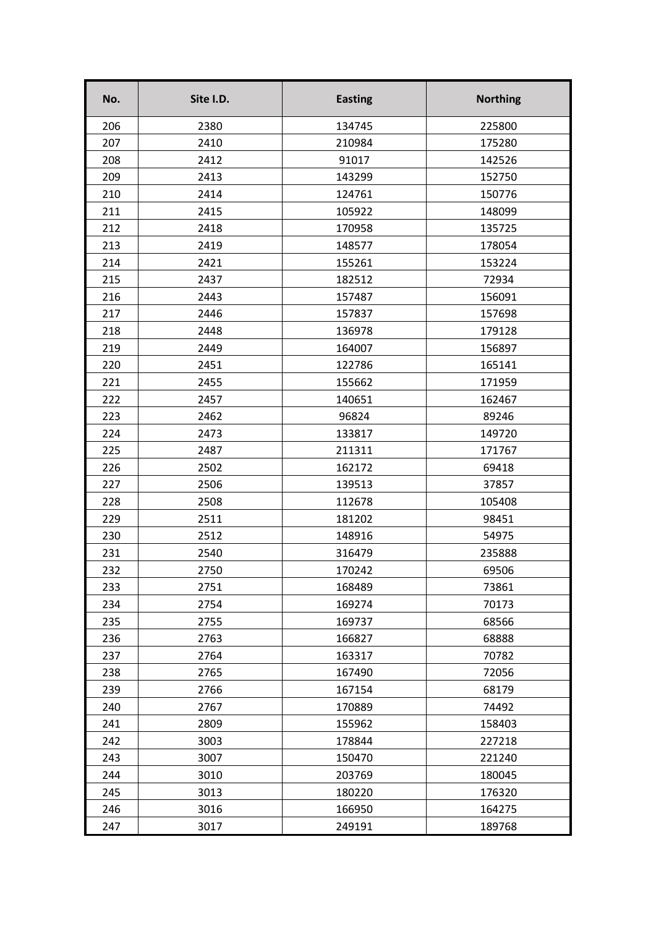| No. | Site I.D. | <b>Easting</b> | <b>Northing</b> |
|-----|-----------|----------------|-----------------|
| 206 | 2380      | 134745         | 225800          |
| 207 | 2410      | 210984         | 175280          |
| 208 | 2412      | 91017          | 142526          |
| 209 | 2413      | 143299         | 152750          |
| 210 | 2414      | 124761         | 150776          |
| 211 | 2415      | 105922         | 148099          |
| 212 | 2418      | 170958         | 135725          |
| 213 | 2419      | 148577         | 178054          |
| 214 | 2421      | 155261         | 153224          |
| 215 | 2437      | 182512         | 72934           |
| 216 | 2443      | 157487         | 156091          |
| 217 | 2446      | 157837         | 157698          |
| 218 | 2448      | 136978         | 179128          |
| 219 | 2449      | 164007         | 156897          |
| 220 | 2451      | 122786         | 165141          |
| 221 | 2455      | 155662         | 171959          |
| 222 | 2457      | 140651         | 162467          |
| 223 | 2462      | 96824          | 89246           |
| 224 | 2473      | 133817         | 149720          |
| 225 | 2487      | 211311         | 171767          |
| 226 | 2502      | 162172         | 69418           |
| 227 | 2506      | 139513         | 37857           |
| 228 | 2508      | 112678         | 105408          |
| 229 | 2511      | 181202         | 98451           |
| 230 | 2512      | 148916         | 54975           |
| 231 | 2540      | 316479         | 235888          |
| 232 | 2750      | 170242         | 69506           |
| 233 | 2751      | 168489         | 73861           |
| 234 | 2754      | 169274         | 70173           |
| 235 | 2755      | 169737         | 68566           |
| 236 | 2763      | 166827         | 68888           |
| 237 | 2764      | 163317         | 70782           |
| 238 | 2765      | 167490         | 72056           |
| 239 | 2766      | 167154         | 68179           |
| 240 | 2767      | 170889         | 74492           |
| 241 | 2809      | 155962         | 158403          |
| 242 | 3003      | 178844         | 227218          |
| 243 | 3007      | 150470         | 221240          |
| 244 | 3010      | 203769         | 180045          |
| 245 | 3013      | 180220         | 176320          |
| 246 | 3016      | 166950         | 164275          |
| 247 | 3017      | 249191         | 189768          |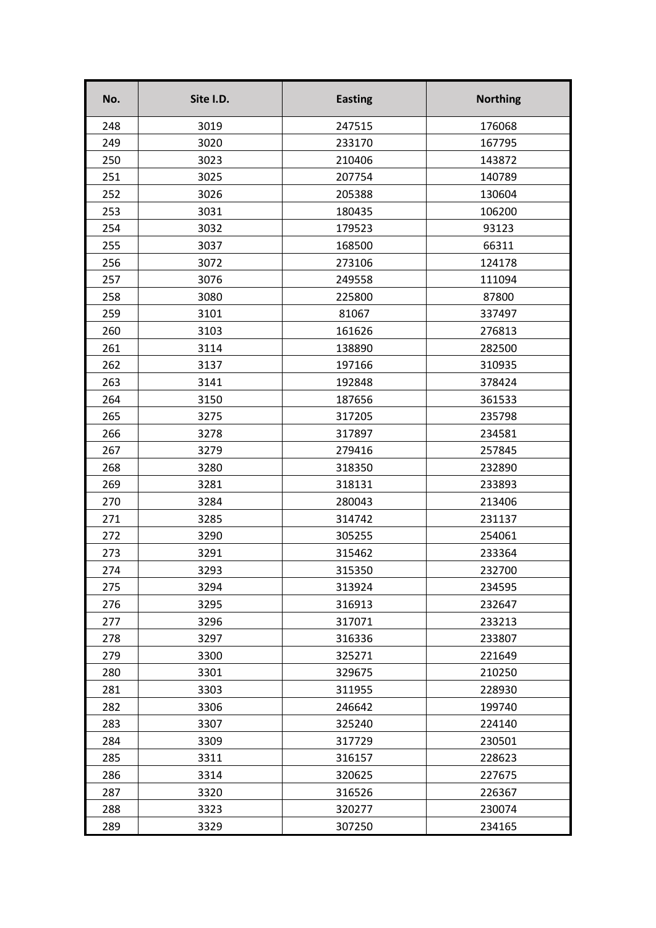| No. | Site I.D. | <b>Easting</b> | <b>Northing</b> |
|-----|-----------|----------------|-----------------|
| 248 | 3019      | 247515         | 176068          |
| 249 | 3020      | 233170         | 167795          |
| 250 | 3023      | 210406         | 143872          |
| 251 | 3025      | 207754         | 140789          |
| 252 | 3026      | 205388         | 130604          |
| 253 | 3031      | 180435         | 106200          |
| 254 | 3032      | 179523         | 93123           |
| 255 | 3037      | 168500         | 66311           |
| 256 | 3072      | 273106         | 124178          |
| 257 | 3076      | 249558         | 111094          |
| 258 | 3080      | 225800         | 87800           |
| 259 | 3101      | 81067          | 337497          |
| 260 | 3103      | 161626         | 276813          |
| 261 | 3114      | 138890         | 282500          |
| 262 | 3137      | 197166         | 310935          |
| 263 | 3141      | 192848         | 378424          |
| 264 | 3150      | 187656         | 361533          |
| 265 | 3275      | 317205         | 235798          |
| 266 | 3278      | 317897         | 234581          |
| 267 | 3279      | 279416         | 257845          |
| 268 | 3280      | 318350         | 232890          |
| 269 | 3281      | 318131         | 233893          |
| 270 | 3284      | 280043         | 213406          |
| 271 | 3285      | 314742         | 231137          |
| 272 | 3290      | 305255         | 254061          |
| 273 | 3291      | 315462         | 233364          |
| 274 | 3293      | 315350         | 232700          |
| 275 | 3294      | 313924         | 234595          |
| 276 | 3295      | 316913         | 232647          |
| 277 | 3296      | 317071         | 233213          |
| 278 | 3297      | 316336         | 233807          |
| 279 | 3300      | 325271         | 221649          |
| 280 | 3301      | 329675         | 210250          |
| 281 | 3303      | 311955         | 228930          |
| 282 | 3306      | 246642         | 199740          |
| 283 | 3307      | 325240         | 224140          |
| 284 | 3309      | 317729         | 230501          |
| 285 | 3311      | 316157         | 228623          |
| 286 | 3314      | 320625         | 227675          |
| 287 | 3320      | 316526         | 226367          |
| 288 | 3323      | 320277         | 230074          |
| 289 | 3329      | 307250         | 234165          |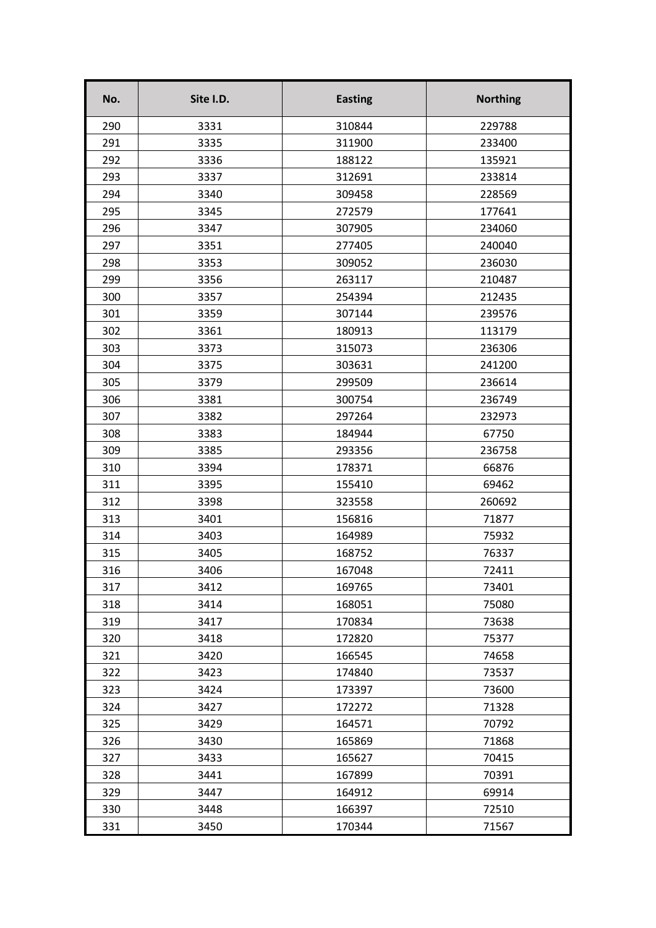| No. | Site I.D. | <b>Easting</b> | <b>Northing</b> |
|-----|-----------|----------------|-----------------|
| 290 | 3331      | 310844         | 229788          |
| 291 | 3335      | 311900         | 233400          |
| 292 | 3336      | 188122         | 135921          |
| 293 | 3337      | 312691         | 233814          |
| 294 | 3340      | 309458         | 228569          |
| 295 | 3345      | 272579         | 177641          |
| 296 | 3347      | 307905         | 234060          |
| 297 | 3351      | 277405         | 240040          |
| 298 | 3353      | 309052         | 236030          |
| 299 | 3356      | 263117         | 210487          |
| 300 | 3357      | 254394         | 212435          |
| 301 | 3359      | 307144         | 239576          |
| 302 | 3361      | 180913         | 113179          |
| 303 | 3373      | 315073         | 236306          |
| 304 | 3375      | 303631         | 241200          |
| 305 | 3379      | 299509         | 236614          |
| 306 | 3381      | 300754         | 236749          |
| 307 | 3382      | 297264         | 232973          |
| 308 | 3383      | 184944         | 67750           |
| 309 | 3385      | 293356         | 236758          |
| 310 | 3394      | 178371         | 66876           |
| 311 | 3395      | 155410         | 69462           |
| 312 | 3398      | 323558         | 260692          |
| 313 | 3401      | 156816         | 71877           |
| 314 | 3403      | 164989         | 75932           |
| 315 | 3405      | 168752         | 76337           |
| 316 | 3406      | 167048         | 72411           |
| 317 | 3412      | 169765         | 73401           |
| 318 | 3414      | 168051         | 75080           |
| 319 | 3417      | 170834         | 73638           |
| 320 | 3418      | 172820         | 75377           |
| 321 | 3420      | 166545         | 74658           |
| 322 | 3423      | 174840         | 73537           |
| 323 | 3424      | 173397         | 73600           |
| 324 | 3427      | 172272         | 71328           |
| 325 | 3429      | 164571         | 70792           |
| 326 | 3430      | 165869         | 71868           |
| 327 | 3433      | 165627         | 70415           |
| 328 | 3441      | 167899         | 70391           |
| 329 | 3447      | 164912         | 69914           |
| 330 | 3448      | 166397         | 72510           |
| 331 | 3450      | 170344         | 71567           |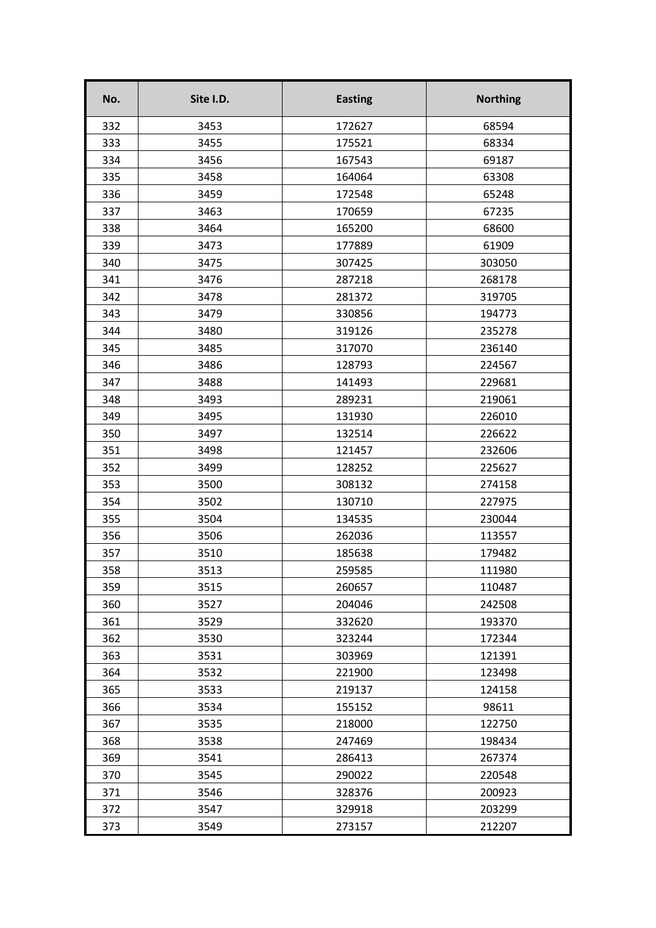| No. | Site I.D. | <b>Easting</b> | <b>Northing</b> |
|-----|-----------|----------------|-----------------|
| 332 | 3453      | 172627         | 68594           |
| 333 | 3455      | 175521         | 68334           |
| 334 | 3456      | 167543         | 69187           |
| 335 | 3458      | 164064         | 63308           |
| 336 | 3459      | 172548         | 65248           |
| 337 | 3463      | 170659         | 67235           |
| 338 | 3464      | 165200         | 68600           |
| 339 | 3473      | 177889         | 61909           |
| 340 | 3475      | 307425         | 303050          |
| 341 | 3476      | 287218         | 268178          |
| 342 | 3478      | 281372         | 319705          |
| 343 | 3479      | 330856         | 194773          |
| 344 | 3480      | 319126         | 235278          |
| 345 | 3485      | 317070         | 236140          |
| 346 | 3486      | 128793         | 224567          |
| 347 | 3488      | 141493         | 229681          |
| 348 | 3493      | 289231         | 219061          |
| 349 | 3495      | 131930         | 226010          |
| 350 | 3497      | 132514         | 226622          |
| 351 | 3498      | 121457         | 232606          |
| 352 | 3499      | 128252         | 225627          |
| 353 | 3500      | 308132         | 274158          |
| 354 | 3502      | 130710         | 227975          |
| 355 | 3504      | 134535         | 230044          |
| 356 | 3506      | 262036         | 113557          |
| 357 | 3510      | 185638         | 179482          |
| 358 | 3513      | 259585         | 111980          |
| 359 | 3515      | 260657         | 110487          |
| 360 | 3527      | 204046         | 242508          |
| 361 | 3529      | 332620         | 193370          |
| 362 | 3530      | 323244         | 172344          |
| 363 | 3531      | 303969         | 121391          |
| 364 | 3532      | 221900         | 123498          |
| 365 | 3533      | 219137         | 124158          |
| 366 | 3534      | 155152         | 98611           |
| 367 | 3535      | 218000         | 122750          |
| 368 | 3538      | 247469         | 198434          |
| 369 | 3541      | 286413         | 267374          |
| 370 | 3545      | 290022         | 220548          |
| 371 | 3546      | 328376         | 200923          |
| 372 | 3547      | 329918         | 203299          |
| 373 | 3549      | 273157         | 212207          |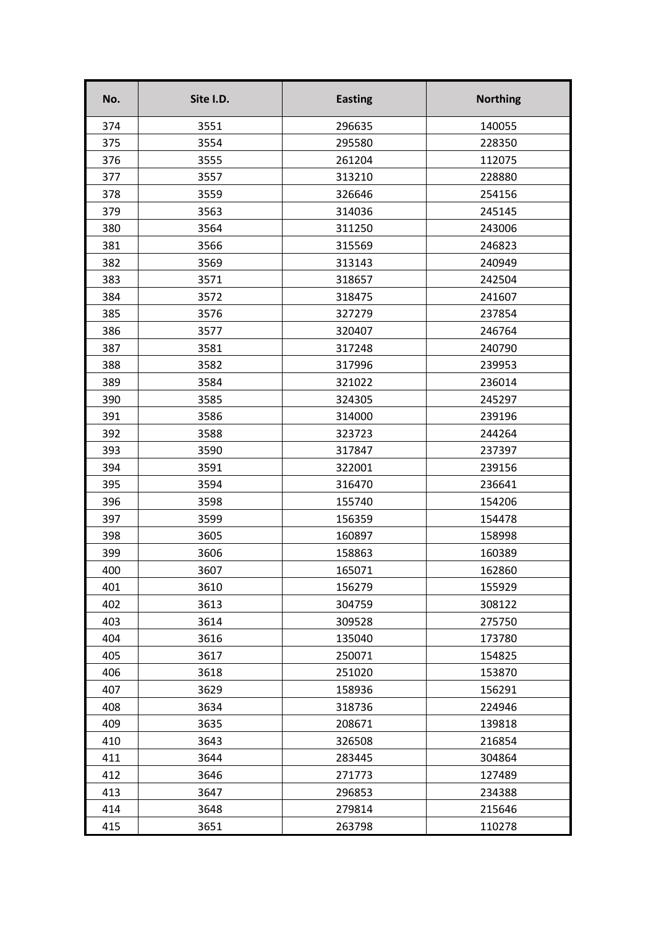| No. | Site I.D. | <b>Easting</b> | <b>Northing</b> |
|-----|-----------|----------------|-----------------|
| 374 | 3551      | 296635         | 140055          |
| 375 | 3554      | 295580         | 228350          |
| 376 | 3555      | 261204         | 112075          |
| 377 | 3557      | 313210         | 228880          |
| 378 | 3559      | 326646         | 254156          |
| 379 | 3563      | 314036         | 245145          |
| 380 | 3564      | 311250         | 243006          |
| 381 | 3566      | 315569         | 246823          |
| 382 | 3569      | 313143         | 240949          |
| 383 | 3571      | 318657         | 242504          |
| 384 | 3572      | 318475         | 241607          |
| 385 | 3576      | 327279         | 237854          |
| 386 | 3577      | 320407         | 246764          |
| 387 | 3581      | 317248         | 240790          |
| 388 | 3582      | 317996         | 239953          |
| 389 | 3584      | 321022         | 236014          |
| 390 | 3585      | 324305         | 245297          |
| 391 | 3586      | 314000         | 239196          |
| 392 | 3588      | 323723         | 244264          |
| 393 | 3590      | 317847         | 237397          |
| 394 | 3591      | 322001         | 239156          |
| 395 | 3594      | 316470         | 236641          |
| 396 | 3598      | 155740         | 154206          |
| 397 | 3599      | 156359         | 154478          |
| 398 | 3605      | 160897         | 158998          |
| 399 | 3606      | 158863         | 160389          |
| 400 | 3607      | 165071         | 162860          |
| 401 | 3610      | 156279         | 155929          |
| 402 | 3613      | 304759         | 308122          |
| 403 | 3614      | 309528         | 275750          |
| 404 | 3616      | 135040         | 173780          |
| 405 | 3617      | 250071         | 154825          |
| 406 | 3618      | 251020         | 153870          |
| 407 | 3629      | 158936         | 156291          |
| 408 | 3634      | 318736         | 224946          |
| 409 | 3635      | 208671         | 139818          |
| 410 | 3643      | 326508         | 216854          |
| 411 | 3644      | 283445         | 304864          |
| 412 | 3646      | 271773         | 127489          |
| 413 | 3647      | 296853         | 234388          |
| 414 | 3648      | 279814         | 215646          |
| 415 | 3651      | 263798         | 110278          |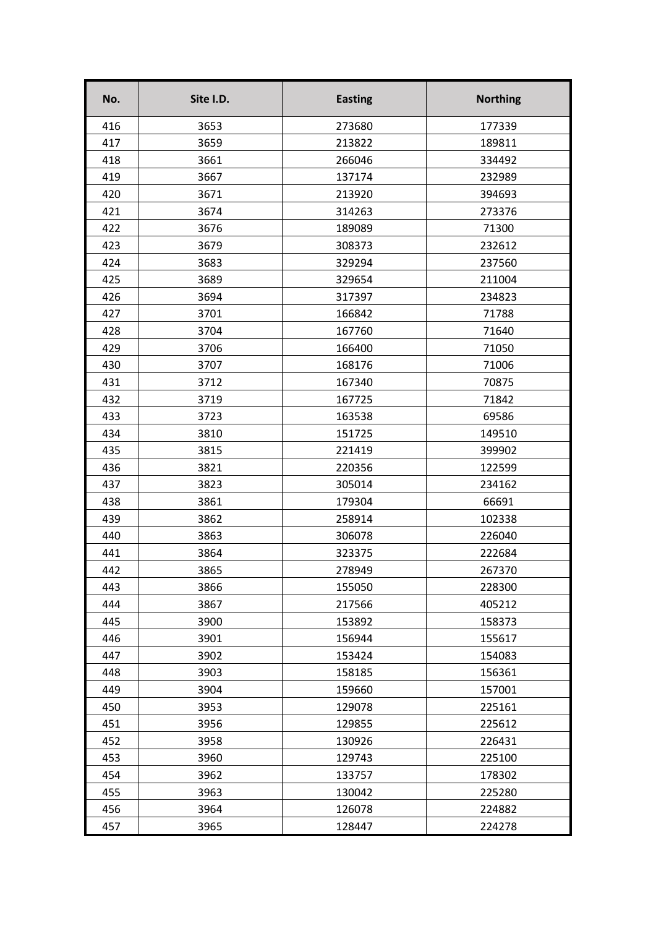| No. | Site I.D. | <b>Easting</b> | <b>Northing</b> |
|-----|-----------|----------------|-----------------|
| 416 | 3653      | 273680         | 177339          |
| 417 | 3659      | 213822         | 189811          |
| 418 | 3661      | 266046         | 334492          |
| 419 | 3667      | 137174         | 232989          |
| 420 | 3671      | 213920         | 394693          |
| 421 | 3674      | 314263         | 273376          |
| 422 | 3676      | 189089         | 71300           |
| 423 | 3679      | 308373         | 232612          |
| 424 | 3683      | 329294         | 237560          |
| 425 | 3689      | 329654         | 211004          |
| 426 | 3694      | 317397         | 234823          |
| 427 | 3701      | 166842         | 71788           |
| 428 | 3704      | 167760         | 71640           |
| 429 | 3706      | 166400         | 71050           |
| 430 | 3707      | 168176         | 71006           |
| 431 | 3712      | 167340         | 70875           |
| 432 | 3719      | 167725         | 71842           |
| 433 | 3723      | 163538         | 69586           |
| 434 | 3810      | 151725         | 149510          |
| 435 | 3815      | 221419         | 399902          |
| 436 | 3821      | 220356         | 122599          |
| 437 | 3823      | 305014         | 234162          |
| 438 | 3861      | 179304         | 66691           |
| 439 | 3862      | 258914         | 102338          |
| 440 | 3863      | 306078         | 226040          |
| 441 | 3864      | 323375         | 222684          |
| 442 | 3865      | 278949         | 267370          |
| 443 | 3866      | 155050         | 228300          |
| 444 | 3867      | 217566         | 405212          |
| 445 | 3900      | 153892         | 158373          |
| 446 | 3901      | 156944         | 155617          |
| 447 | 3902      | 153424         | 154083          |
| 448 | 3903      | 158185         | 156361          |
| 449 | 3904      | 159660         | 157001          |
| 450 | 3953      | 129078         | 225161          |
| 451 | 3956      | 129855         | 225612          |
| 452 | 3958      | 130926         | 226431          |
| 453 | 3960      | 129743         | 225100          |
| 454 | 3962      | 133757         | 178302          |
| 455 | 3963      | 130042         | 225280          |
| 456 | 3964      | 126078         | 224882          |
| 457 | 3965      | 128447         | 224278          |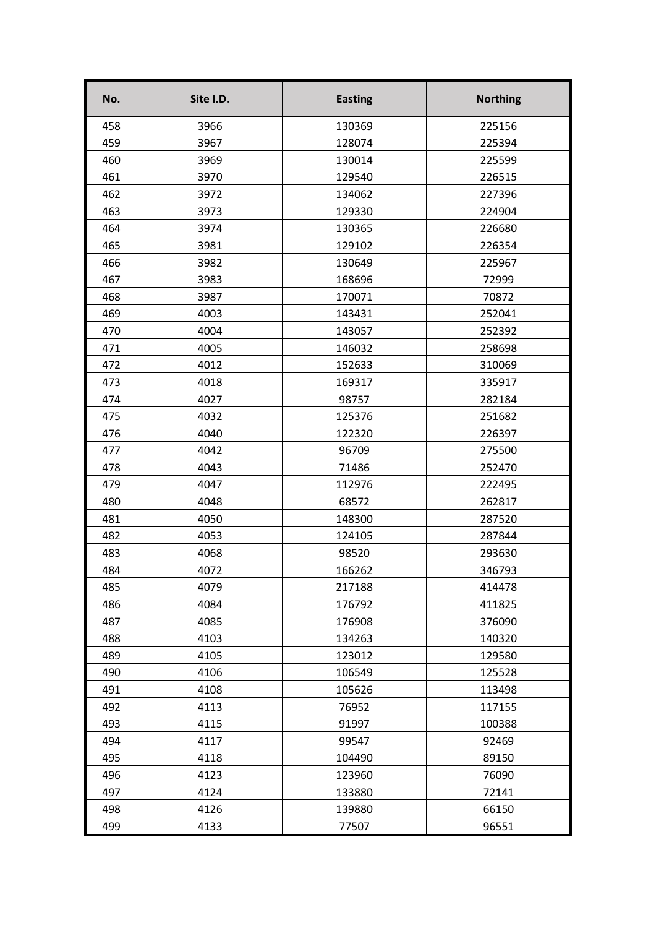| No. | Site I.D. | <b>Easting</b> | <b>Northing</b> |
|-----|-----------|----------------|-----------------|
| 458 | 3966      | 130369         | 225156          |
| 459 | 3967      | 128074         | 225394          |
| 460 | 3969      | 130014         | 225599          |
| 461 | 3970      | 129540         | 226515          |
| 462 | 3972      | 134062         | 227396          |
| 463 | 3973      | 129330         | 224904          |
| 464 | 3974      | 130365         | 226680          |
| 465 | 3981      | 129102         | 226354          |
| 466 | 3982      | 130649         | 225967          |
| 467 | 3983      | 168696         | 72999           |
| 468 | 3987      | 170071         | 70872           |
| 469 | 4003      | 143431         | 252041          |
| 470 | 4004      | 143057         | 252392          |
| 471 | 4005      | 146032         | 258698          |
| 472 | 4012      | 152633         | 310069          |
| 473 | 4018      | 169317         | 335917          |
| 474 | 4027      | 98757          | 282184          |
| 475 | 4032      | 125376         | 251682          |
| 476 | 4040      | 122320         | 226397          |
| 477 | 4042      | 96709          | 275500          |
| 478 | 4043      | 71486          | 252470          |
| 479 | 4047      | 112976         | 222495          |
| 480 | 4048      | 68572          | 262817          |
| 481 | 4050      | 148300         | 287520          |
| 482 | 4053      | 124105         | 287844          |
| 483 | 4068      | 98520          | 293630          |
| 484 | 4072      | 166262         | 346793          |
| 485 | 4079      | 217188         | 414478          |
| 486 | 4084      | 176792         | 411825          |
| 487 | 4085      | 176908         | 376090          |
| 488 | 4103      | 134263         | 140320          |
| 489 | 4105      | 123012         | 129580          |
| 490 | 4106      | 106549         | 125528          |
| 491 | 4108      | 105626         | 113498          |
| 492 | 4113      | 76952          | 117155          |
| 493 | 4115      | 91997          | 100388          |
| 494 | 4117      | 99547          | 92469           |
| 495 | 4118      | 104490         | 89150           |
| 496 | 4123      | 123960         | 76090           |
| 497 | 4124      | 133880         | 72141           |
| 498 | 4126      | 139880         | 66150           |
| 499 | 4133      | 77507          | 96551           |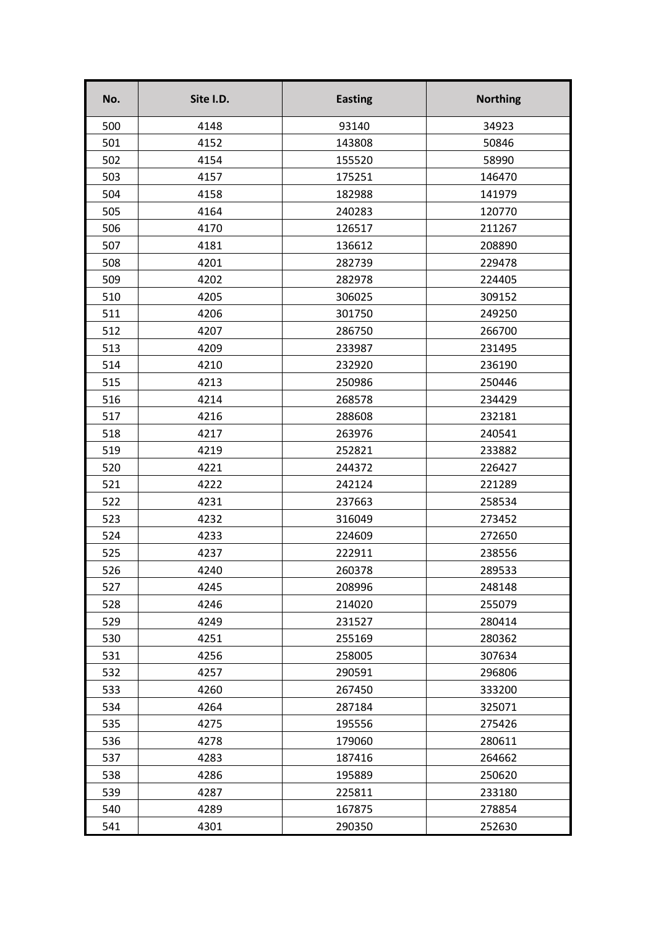| No. | Site I.D. | <b>Easting</b> | <b>Northing</b> |
|-----|-----------|----------------|-----------------|
| 500 | 4148      | 93140          | 34923           |
| 501 | 4152      | 143808         | 50846           |
| 502 | 4154      | 155520         | 58990           |
| 503 | 4157      | 175251         | 146470          |
| 504 | 4158      | 182988         | 141979          |
| 505 | 4164      | 240283         | 120770          |
| 506 | 4170      | 126517         | 211267          |
| 507 | 4181      | 136612         | 208890          |
| 508 | 4201      | 282739         | 229478          |
| 509 | 4202      | 282978         | 224405          |
| 510 | 4205      | 306025         | 309152          |
| 511 | 4206      | 301750         | 249250          |
| 512 | 4207      | 286750         | 266700          |
| 513 | 4209      | 233987         | 231495          |
| 514 | 4210      | 232920         | 236190          |
| 515 | 4213      | 250986         | 250446          |
| 516 | 4214      | 268578         | 234429          |
| 517 | 4216      | 288608         | 232181          |
| 518 | 4217      | 263976         | 240541          |
| 519 | 4219      | 252821         | 233882          |
| 520 | 4221      | 244372         | 226427          |
| 521 | 4222      | 242124         | 221289          |
| 522 | 4231      | 237663         | 258534          |
| 523 | 4232      | 316049         | 273452          |
| 524 | 4233      | 224609         | 272650          |
| 525 | 4237      | 222911         | 238556          |
| 526 | 4240      | 260378         | 289533          |
| 527 | 4245      | 208996         | 248148          |
| 528 | 4246      | 214020         | 255079          |
| 529 | 4249      | 231527         | 280414          |
| 530 | 4251      | 255169         | 280362          |
| 531 | 4256      | 258005         | 307634          |
| 532 | 4257      | 290591         | 296806          |
| 533 | 4260      | 267450         | 333200          |
| 534 | 4264      | 287184         | 325071          |
| 535 | 4275      | 195556         | 275426          |
| 536 | 4278      | 179060         | 280611          |
| 537 | 4283      | 187416         | 264662          |
| 538 | 4286      | 195889         | 250620          |
| 539 | 4287      | 225811         | 233180          |
| 540 | 4289      | 167875         | 278854          |
| 541 | 4301      | 290350         | 252630          |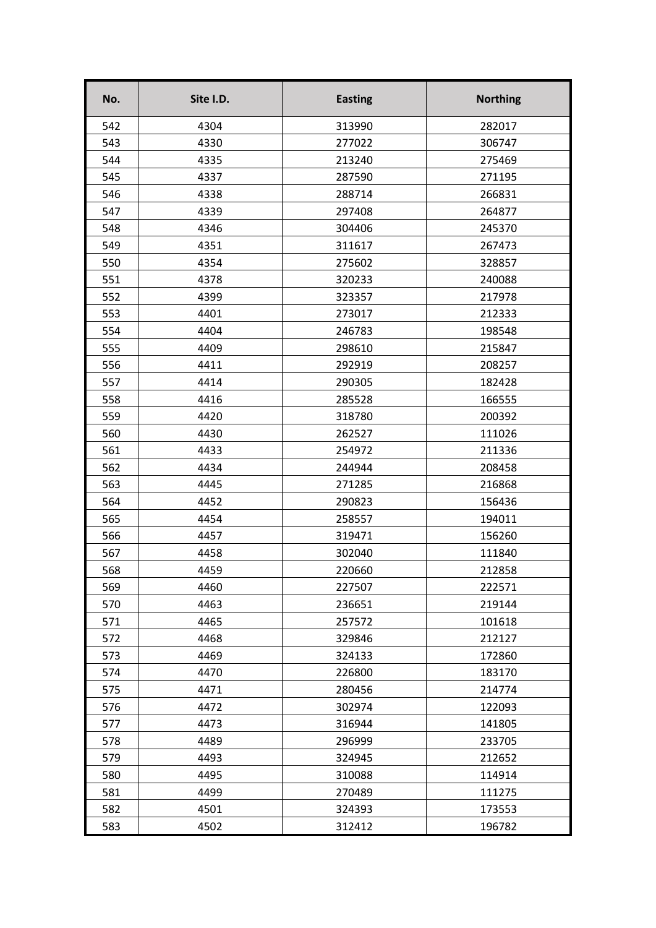| No. | Site I.D. | <b>Easting</b> | <b>Northing</b> |
|-----|-----------|----------------|-----------------|
| 542 | 4304      | 313990         | 282017          |
| 543 | 4330      | 277022         | 306747          |
| 544 | 4335      | 213240         | 275469          |
| 545 | 4337      | 287590         | 271195          |
| 546 | 4338      | 288714         | 266831          |
| 547 | 4339      | 297408         | 264877          |
| 548 | 4346      | 304406         | 245370          |
| 549 | 4351      | 311617         | 267473          |
| 550 | 4354      | 275602         | 328857          |
| 551 | 4378      | 320233         | 240088          |
| 552 | 4399      | 323357         | 217978          |
| 553 | 4401      | 273017         | 212333          |
| 554 | 4404      | 246783         | 198548          |
| 555 | 4409      | 298610         | 215847          |
| 556 | 4411      | 292919         | 208257          |
| 557 | 4414      | 290305         | 182428          |
| 558 | 4416      | 285528         | 166555          |
| 559 | 4420      | 318780         | 200392          |
| 560 | 4430      | 262527         | 111026          |
| 561 | 4433      | 254972         | 211336          |
| 562 | 4434      | 244944         | 208458          |
| 563 | 4445      | 271285         | 216868          |
| 564 | 4452      | 290823         | 156436          |
| 565 | 4454      | 258557         | 194011          |
| 566 | 4457      | 319471         | 156260          |
| 567 | 4458      | 302040         | 111840          |
| 568 | 4459      | 220660         | 212858          |
| 569 | 4460      | 227507         | 222571          |
| 570 | 4463      | 236651         | 219144          |
| 571 | 4465      | 257572         | 101618          |
| 572 | 4468      | 329846         | 212127          |
| 573 | 4469      | 324133         | 172860          |
| 574 | 4470      | 226800         | 183170          |
| 575 | 4471      | 280456         | 214774          |
| 576 | 4472      | 302974         | 122093          |
| 577 | 4473      | 316944         | 141805          |
| 578 | 4489      | 296999         | 233705          |
| 579 | 4493      | 324945         | 212652          |
| 580 | 4495      | 310088         | 114914          |
| 581 | 4499      | 270489         | 111275          |
| 582 | 4501      | 324393         | 173553          |
| 583 | 4502      | 312412         | 196782          |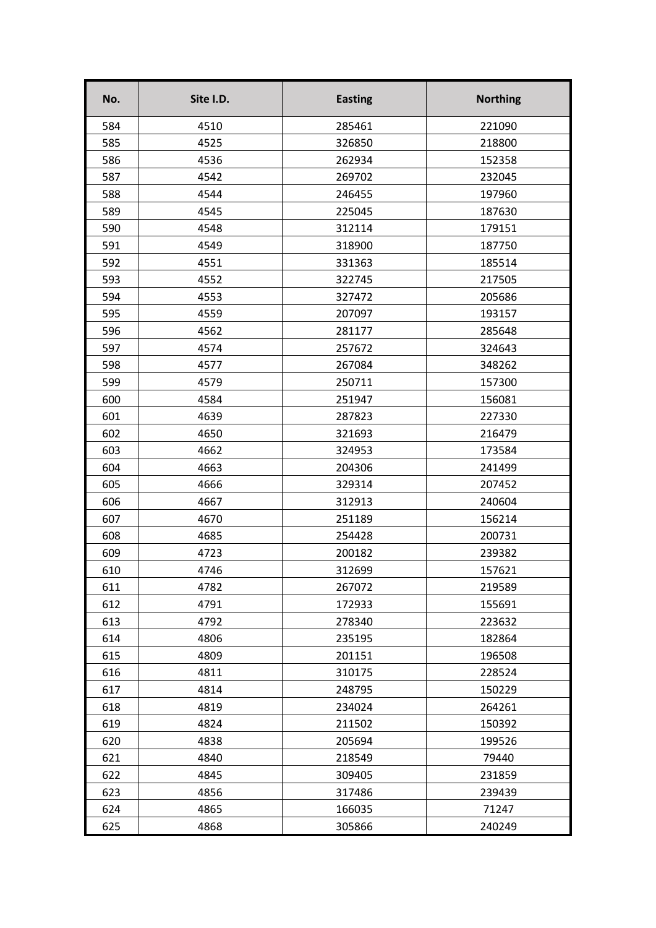| No. | Site I.D. | <b>Easting</b> | <b>Northing</b> |
|-----|-----------|----------------|-----------------|
| 584 | 4510      | 285461         | 221090          |
| 585 | 4525      | 326850         | 218800          |
| 586 | 4536      | 262934         | 152358          |
| 587 | 4542      | 269702         | 232045          |
| 588 | 4544      | 246455         | 197960          |
| 589 | 4545      | 225045         | 187630          |
| 590 | 4548      | 312114         | 179151          |
| 591 | 4549      | 318900         | 187750          |
| 592 | 4551      | 331363         | 185514          |
| 593 | 4552      | 322745         | 217505          |
| 594 | 4553      | 327472         | 205686          |
| 595 | 4559      | 207097         | 193157          |
| 596 | 4562      | 281177         | 285648          |
| 597 | 4574      | 257672         | 324643          |
| 598 | 4577      | 267084         | 348262          |
| 599 | 4579      | 250711         | 157300          |
| 600 | 4584      | 251947         | 156081          |
| 601 | 4639      | 287823         | 227330          |
| 602 | 4650      | 321693         | 216479          |
| 603 | 4662      | 324953         | 173584          |
| 604 | 4663      | 204306         | 241499          |
| 605 | 4666      | 329314         | 207452          |
| 606 | 4667      | 312913         | 240604          |
| 607 | 4670      | 251189         | 156214          |
| 608 | 4685      | 254428         | 200731          |
| 609 | 4723      | 200182         | 239382          |
| 610 | 4746      | 312699         | 157621          |
| 611 | 4782      | 267072         | 219589          |
| 612 | 4791      | 172933         | 155691          |
| 613 | 4792      | 278340         | 223632          |
| 614 | 4806      | 235195         | 182864          |
| 615 | 4809      | 201151         | 196508          |
| 616 | 4811      | 310175         | 228524          |
| 617 | 4814      | 248795         | 150229          |
| 618 | 4819      | 234024         | 264261          |
| 619 | 4824      | 211502         | 150392          |
| 620 | 4838      | 205694         | 199526          |
| 621 | 4840      | 218549         | 79440           |
| 622 | 4845      | 309405         | 231859          |
| 623 | 4856      | 317486         | 239439          |
| 624 | 4865      | 166035         | 71247           |
| 625 | 4868      | 305866         | 240249          |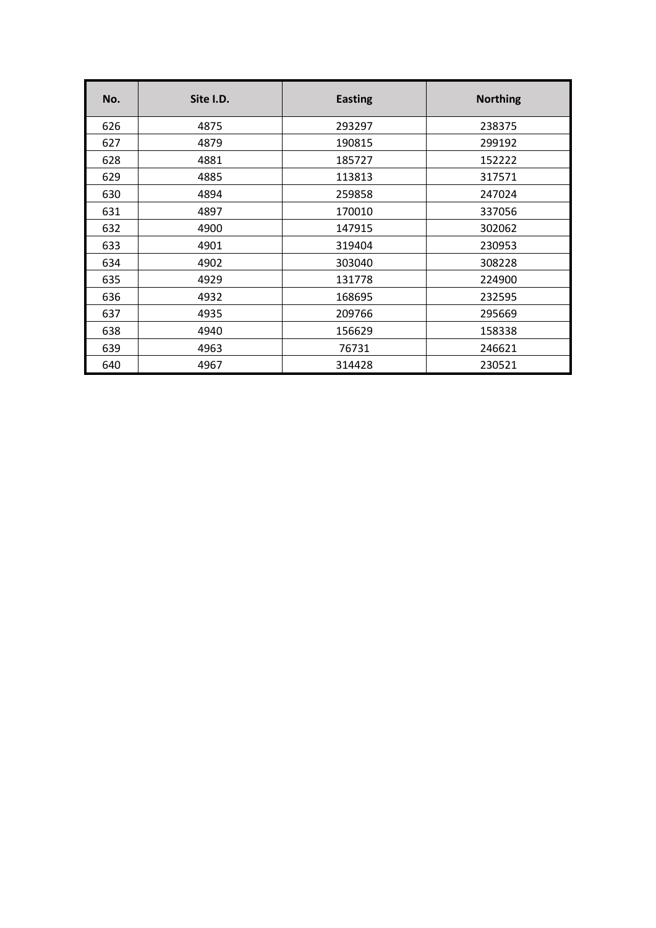| No. | Site I.D. | <b>Easting</b> | <b>Northing</b> |
|-----|-----------|----------------|-----------------|
| 626 | 4875      | 293297         | 238375          |
| 627 | 4879      | 190815         | 299192          |
| 628 | 4881      | 185727         | 152222          |
| 629 | 4885      | 113813         | 317571          |
| 630 | 4894      | 259858         | 247024          |
| 631 | 4897      | 170010         | 337056          |
| 632 | 4900      | 147915         | 302062          |
| 633 | 4901      | 319404         | 230953          |
| 634 | 4902      | 303040         | 308228          |
| 635 | 4929      | 131778         | 224900          |
| 636 | 4932      | 168695         | 232595          |
| 637 | 4935      | 209766         | 295669          |
| 638 | 4940      | 156629         | 158338          |
| 639 | 4963      | 76731          | 246621          |
| 640 | 4967      | 314428         | 230521          |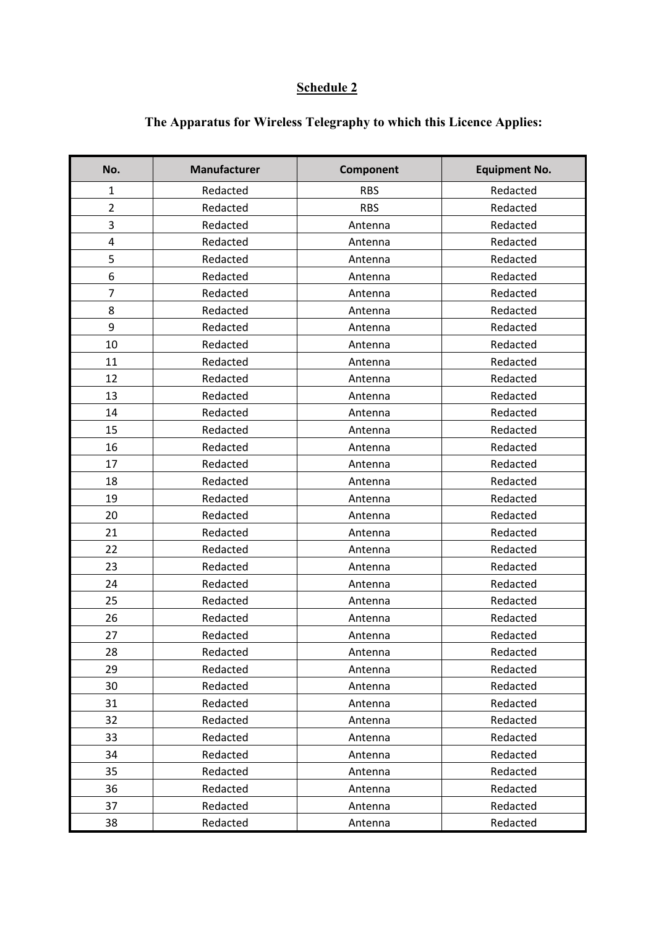## **Schedule 2**

| No.            | <b>Manufacturer</b> | Component  | <b>Equipment No.</b> |
|----------------|---------------------|------------|----------------------|
| $\mathbf 1$    | Redacted            | <b>RBS</b> | Redacted             |
| $\overline{2}$ | Redacted            | <b>RBS</b> | Redacted             |
| 3              | Redacted            | Antenna    | Redacted             |
| 4              | Redacted            | Antenna    | Redacted             |
| 5              | Redacted            | Antenna    | Redacted             |
| 6              | Redacted            | Antenna    | Redacted             |
| 7              | Redacted            | Antenna    | Redacted             |
| 8              | Redacted            | Antenna    | Redacted             |
| 9              | Redacted            | Antenna    | Redacted             |
| 10             | Redacted            | Antenna    | Redacted             |
| 11             | Redacted            | Antenna    | Redacted             |
| 12             | Redacted            | Antenna    | Redacted             |
| 13             | Redacted            | Antenna    | Redacted             |
| 14             | Redacted            | Antenna    | Redacted             |
| 15             | Redacted            | Antenna    | Redacted             |
| 16             | Redacted            | Antenna    | Redacted             |
| 17             | Redacted            | Antenna    | Redacted             |
| 18             | Redacted            | Antenna    | Redacted             |
| 19             | Redacted            | Antenna    | Redacted             |
| 20             | Redacted            | Antenna    | Redacted             |
| 21             | Redacted            | Antenna    | Redacted             |
| 22             | Redacted            | Antenna    | Redacted             |
| 23             | Redacted            | Antenna    | Redacted             |
| 24             | Redacted            | Antenna    | Redacted             |
| 25             | Redacted            | Antenna    | Redacted             |
| 26             | Redacted            | Antenna    | Redacted             |
| 27             | Redacted            | Antenna    | Redacted             |
| 28             | Redacted            | Antenna    | Redacted             |
| 29             | Redacted            | Antenna    | Redacted             |
| 30             | Redacted            | Antenna    | Redacted             |
| 31             | Redacted            | Antenna    | Redacted             |
| 32             | Redacted            | Antenna    | Redacted             |
| 33             | Redacted            | Antenna    | Redacted             |
| 34             | Redacted            | Antenna    | Redacted             |
| 35             | Redacted            | Antenna    | Redacted             |
| 36             | Redacted            | Antenna    | Redacted             |
| 37             | Redacted            | Antenna    | Redacted             |
| 38             | Redacted            | Antenna    | Redacted             |

# **The Apparatus for Wireless Telegraphy to which this Licence Applies:**